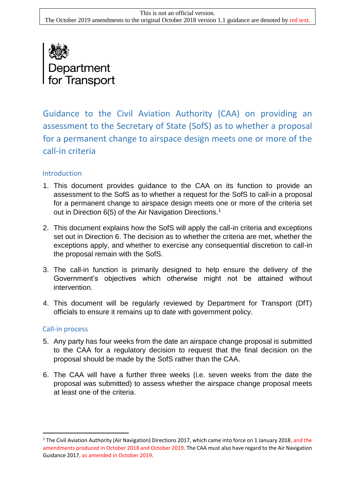

Guidance to the Civil Aviation Authority (CAA) on providing an assessment to the Secretary of State (SofS) as to whether a proposal for a permanent change to airspace design meets one or more of the call-in criteria

## Introduction

- 1. This document provides guidance to the CAA on its function to provide an assessment to the SofS as to whether a request for the SofS to call-in a proposal for a permanent change to airspace design meets one or more of the criteria set out in Direction 6(5) of the Air Navigation Directions.<sup>1</sup>
- 2. This document explains how the SofS will apply the call-in criteria and exceptions set out in Direction 6. The decision as to whether the criteria are met, whether the exceptions apply, and whether to exercise any consequential discretion to call-in the proposal remain with the SofS.
- 3. The call-in function is primarily designed to help ensure the delivery of the Government's objectives which otherwise might not be attained without intervention.
- 4. This document will be regularly reviewed by Department for Transport (DfT) officials to ensure it remains up to date with government policy.

#### Call-in process

1

- 5. Any party has four weeks from the date an airspace change proposal is submitted to the CAA for a regulatory decision to request that the final decision on the proposal should be made by the SofS rather than the CAA.
- 6. The CAA will have a further three weeks (i.e. seven weeks from the date the proposal was submitted) to assess whether the airspace change proposal meets at least one of the criteria.

 $1$  The Civil Aviation Authority (Air Navigation) Directions 2017, which came into force on 1 January 2018, and the amendments produced in October 2018 and October 2019. The CAA must also have regard to the Air Navigation Guidance 2017, as amended in October 2019.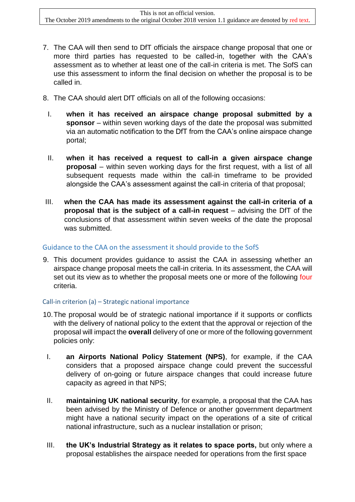- 7. The CAA will then send to DfT officials the airspace change proposal that one or more third parties has requested to be called-in, together with the CAA's assessment as to whether at least one of the call-in criteria is met. The SofS can use this assessment to inform the final decision on whether the proposal is to be called in.
- 8. The CAA should alert DfT officials on all of the following occasions:
	- I. **when it has received an airspace change proposal submitted by a sponsor** – within seven working days of the date the proposal was submitted via an automatic notification to the DfT from the CAA's online airspace change portal;
	- II. **when it has received a request to call-in a given airspace change proposal** – within seven working days for the first request, with a list of all subsequent requests made within the call-in timeframe to be provided alongside the CAA's assessment against the call-in criteria of that proposal;
- III. **when the CAA has made its assessment against the call-in criteria of a proposal that is the subject of a call-in request** – advising the DfT of the conclusions of that assessment within seven weeks of the date the proposal was submitted.

### Guidance to the CAA on the assessment it should provide to the SofS

9. This document provides guidance to assist the CAA in assessing whether an airspace change proposal meets the call-in criteria. In its assessment, the CAA will set out its view as to whether the proposal meets one or more of the following four criteria.

#### Call-in criterion (a) – Strategic national importance

- 10.The proposal would be of strategic national importance if it supports or conflicts with the delivery of national policy to the extent that the approval or rejection of the proposal will impact the **overall** delivery of one or more of the following government policies only:
- I. **an Airports National Policy Statement (NPS)**, for example, if the CAA considers that a proposed airspace change could prevent the successful delivery of on-going or future airspace changes that could increase future capacity as agreed in that NPS;
- II. **maintaining UK national security**, for example, a proposal that the CAA has been advised by the Ministry of Defence or another government department might have a national security impact on the operations of a site of critical national infrastructure, such as a nuclear installation or prison;
- III. **the UK's Industrial Strategy as it relates to space ports,** but only where a proposal establishes the airspace needed for operations from the first space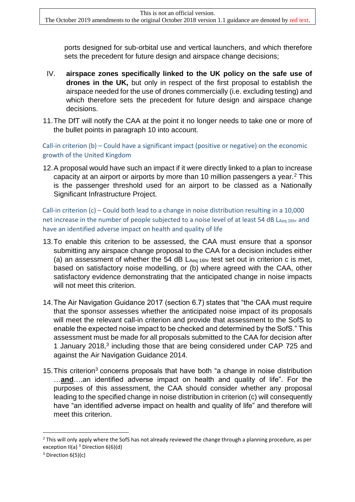ports designed for sub-orbital use and vertical launchers, and which therefore sets the precedent for future design and airspace change decisions;

- IV. **airspace zones specifically linked to the UK policy on the safe use of drones in the UK,** but only in respect of the first proposal to establish the airspace needed for the use of drones commercially (i.e. excluding testing) and which therefore sets the precedent for future design and airspace change decisions.
- 11.The DfT will notify the CAA at the point it no longer needs to take one or more of the bullet points in paragraph 10 into account.

Call-in criterion (b) – Could have a significant impact (positive or negative) on the economic growth of the United Kingdom

12.A proposal would have such an impact if it were directly linked to a plan to increase capacity at an airport or airports by more than 10 million passengers a year.<sup>2</sup> This is the passenger threshold used for an airport to be classed as a Nationally Significant Infrastructure Project.

Call-in criterion (c) – Could both lead to a change in noise distribution resulting in a 10,000 net increase in the number of people subjected to a noise level of at least 54 dB LAeq 16hr and have an identified adverse impact on health and quality of life

- 13.To enable this criterion to be assessed, the CAA must ensure that a sponsor submitting any airspace change proposal to the CAA for a decision includes either (a) an assessment of whether the 54 dB LAeq 16hr test set out in criterion c is met, based on satisfactory noise modelling, or (b) where agreed with the CAA, other satisfactory evidence demonstrating that the anticipated change in noise impacts will not meet this criterion.
- 14.The Air Navigation Guidance 2017 (section 6.7) states that "the CAA must require that the sponsor assesses whether the anticipated noise impact of its proposals will meet the relevant call-in criterion and provide that assessment to the SofS to enable the expected noise impact to be checked and determined by the SofS." This assessment must be made for all proposals submitted to the CAA for decision after 1 January 2018,<sup>3</sup> including those that are being considered under CAP 725 and against the Air Navigation Guidance 2014.
- 15. This criterion<sup>3</sup> concerns proposals that have both "a change in noise distribution …**and**….an identified adverse impact on health and quality of life". For the purposes of this assessment, the CAA should consider whether any proposal leading to the specified change in noise distribution in criterion (c) will consequently have "an identified adverse impact on health and quality of life" and therefore will meet this criterion.

1

<sup>&</sup>lt;sup>2</sup> This will only apply where the SofS has not already reviewed the change through a planning procedure, as per exception  $II(a)$ <sup>3</sup> Direction  $6(6)(d)$ 

<sup>&</sup>lt;sup>3</sup> Direction 6(5)(c)